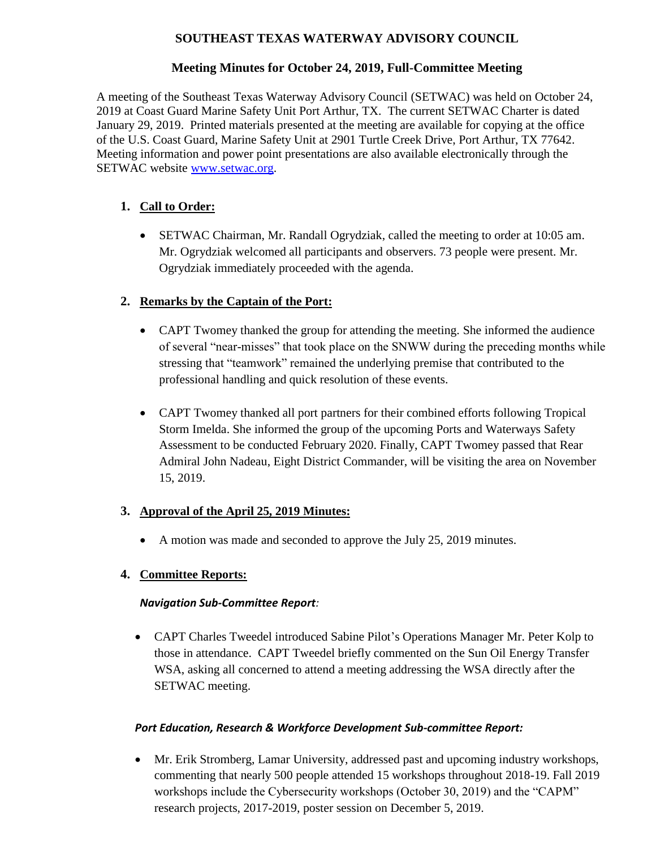## **SOUTHEAST TEXAS WATERWAY ADVISORY COUNCIL**

## **Meeting Minutes for October 24, 2019, Full-Committee Meeting**

A meeting of the Southeast Texas Waterway Advisory Council (SETWAC) was held on October 24, 2019 at Coast Guard Marine Safety Unit Port Arthur, TX. The current SETWAC Charter is dated January 29, 2019. Printed materials presented at the meeting are available for copying at the office of the U.S. Coast Guard, Marine Safety Unit at 2901 Turtle Creek Drive, Port Arthur, TX 77642. Meeting information and power point presentations are also available electronically through the SETWAC website **www.setwac.org.** 

# **1. Call to Order:**

 SETWAC Chairman, Mr. Randall Ogrydziak, called the meeting to order at 10:05 am. Mr. Ogrydziak welcomed all participants and observers. 73 people were present. Mr. Ogrydziak immediately proceeded with the agenda.

## **2. Remarks by the Captain of the Port:**

- CAPT Twomey thanked the group for attending the meeting. She informed the audience of several "near-misses" that took place on the SNWW during the preceding months while stressing that "teamwork" remained the underlying premise that contributed to the professional handling and quick resolution of these events.
- CAPT Twomey thanked all port partners for their combined efforts following Tropical Storm Imelda. She informed the group of the upcoming Ports and Waterways Safety Assessment to be conducted February 2020. Finally, CAPT Twomey passed that Rear Admiral John Nadeau, Eight District Commander, will be visiting the area on November 15, 2019.

## **3. Approval of the April 25, 2019 Minutes:**

• A motion was made and seconded to approve the July 25, 2019 minutes.

# **4. Committee Reports:**

## *Navigation Sub-Committee Report:*

 CAPT Charles Tweedel introduced Sabine Pilot's Operations Manager Mr. Peter Kolp to those in attendance. CAPT Tweedel briefly commented on the Sun Oil Energy Transfer WSA, asking all concerned to attend a meeting addressing the WSA directly after the SETWAC meeting.

## *Port Education, Research & Workforce Development Sub-committee Report:*

 Mr. Erik Stromberg, Lamar University, addressed past and upcoming industry workshops, commenting that nearly 500 people attended 15 workshops throughout 2018-19. Fall 2019 workshops include the Cybersecurity workshops (October 30, 2019) and the "CAPM" research projects, 2017-2019, poster session on December 5, 2019.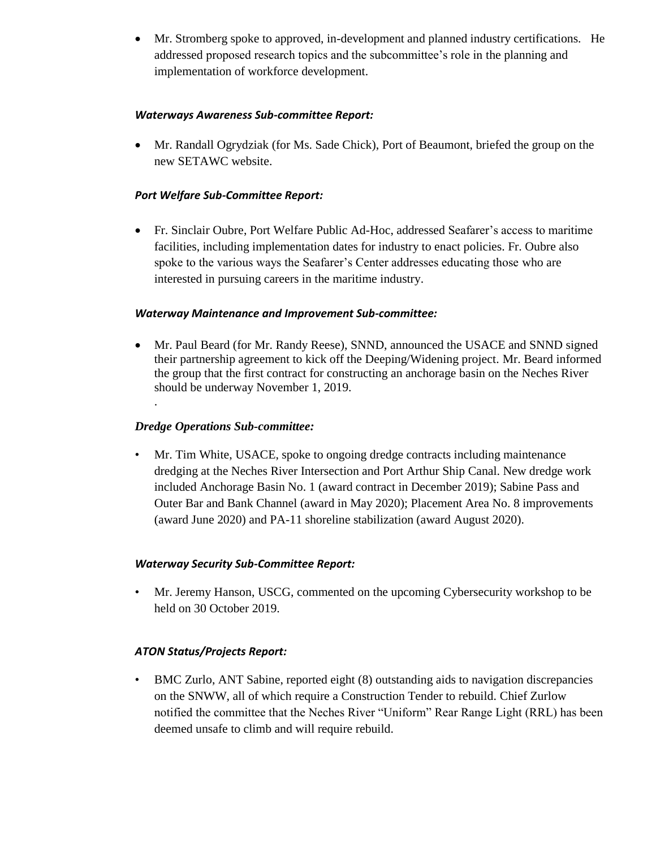Mr. Stromberg spoke to approved, in-development and planned industry certifications. He addressed proposed research topics and the subcommittee's role in the planning and implementation of workforce development.

#### *Waterways Awareness Sub-committee Report:*

 Mr. Randall Ogrydziak (for Ms. Sade Chick), Port of Beaumont, briefed the group on the new SETAWC website.

#### *Port Welfare Sub-Committee Report:*

 Fr. Sinclair Oubre, Port Welfare Public Ad-Hoc, addressed Seafarer's access to maritime facilities, including implementation dates for industry to enact policies. Fr. Oubre also spoke to the various ways the Seafarer's Center addresses educating those who are interested in pursuing careers in the maritime industry.

#### *Waterway Maintenance and Improvement Sub-committee:*

 Mr. Paul Beard (for Mr. Randy Reese), SNND, announced the USACE and SNND signed their partnership agreement to kick off the Deeping/Widening project. Mr. Beard informed the group that the first contract for constructing an anchorage basin on the Neches River should be underway November 1, 2019. .

### *Dredge Operations Sub-committee:*

• Mr. Tim White, USACE, spoke to ongoing dredge contracts including maintenance dredging at the Neches River Intersection and Port Arthur Ship Canal. New dredge work included Anchorage Basin No. 1 (award contract in December 2019); Sabine Pass and Outer Bar and Bank Channel (award in May 2020); Placement Area No. 8 improvements (award June 2020) and PA-11 shoreline stabilization (award August 2020).

#### *Waterway Security Sub-Committee Report:*

• Mr. Jeremy Hanson, USCG, commented on the upcoming Cybersecurity workshop to be held on 30 October 2019.

## *ATON Status/Projects Report:*

• BMC Zurlo, ANT Sabine, reported eight (8) outstanding aids to navigation discrepancies on the SNWW, all of which require a Construction Tender to rebuild. Chief Zurlow notified the committee that the Neches River "Uniform" Rear Range Light (RRL) has been deemed unsafe to climb and will require rebuild.